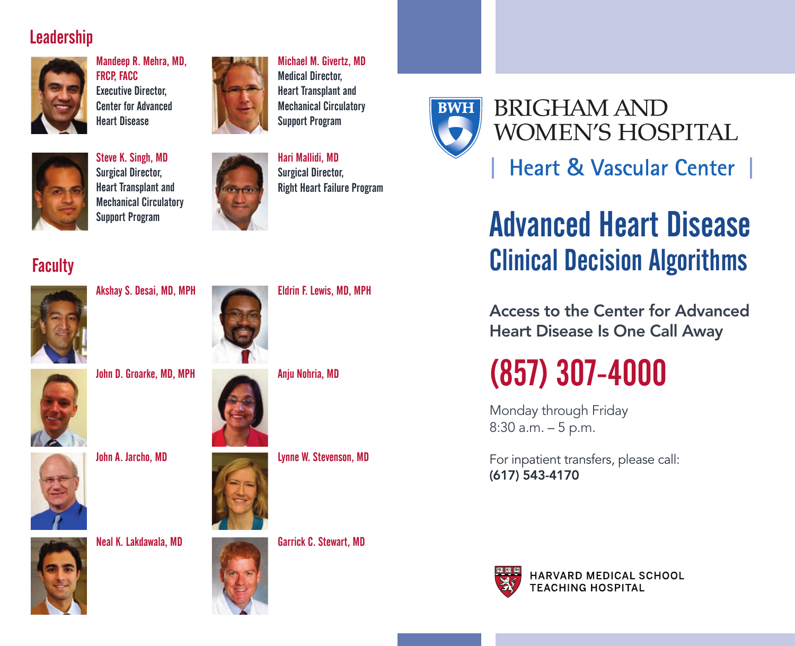#### **Leadership**



Mandeep R. Mehra, MD, FRCP, FACC Executive Director, Center for Advanced Heart Disease



Michael M. Givertz, MD Medical Director, Heart Transplant and Mechanical Circulatory Support Program



Steve K. Singh, MD Surgical Director, Heart Transplant and Mechanical Circulatory Support Program



Hari Mallidi, MD Surgical Director, Right Heart Failure Program

Eldrin F. Lewis, MD, MPH



## **BRIGHAM AND WOMEN'S HOSPITAL**

## **Heart & Vascular Center**

# Advanced Heart Disease Clinical Decision Algorithms

**Access to the Center for Advanced Heart Disease Is One Call Away**

# (857) 307-4000

Monday through Friday 8:30 a.m. – 5 p.m.

For inpatient transfers, please call: **(617) 543-4170**



HARVARD MEDICAL SCHOOL **TEACHING HOSPITAL** 

### **Faculty**



Akshay S. Desai, MD, MPH

John D. Groarke, MD, MPH



John A. Jarcho, MD









Anju Nohria, MD



Lynne W. Stevenson, MD



Neal K. Lakdawala, MD